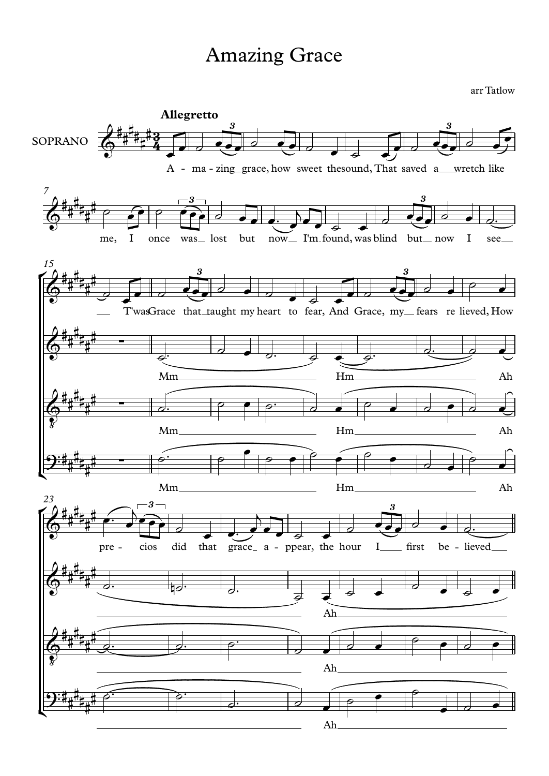## **Amazing Grace**

arr Tatlow

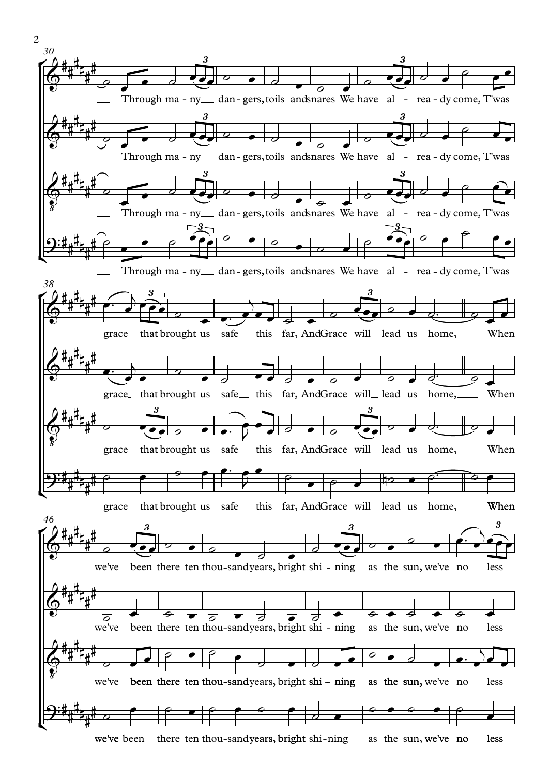